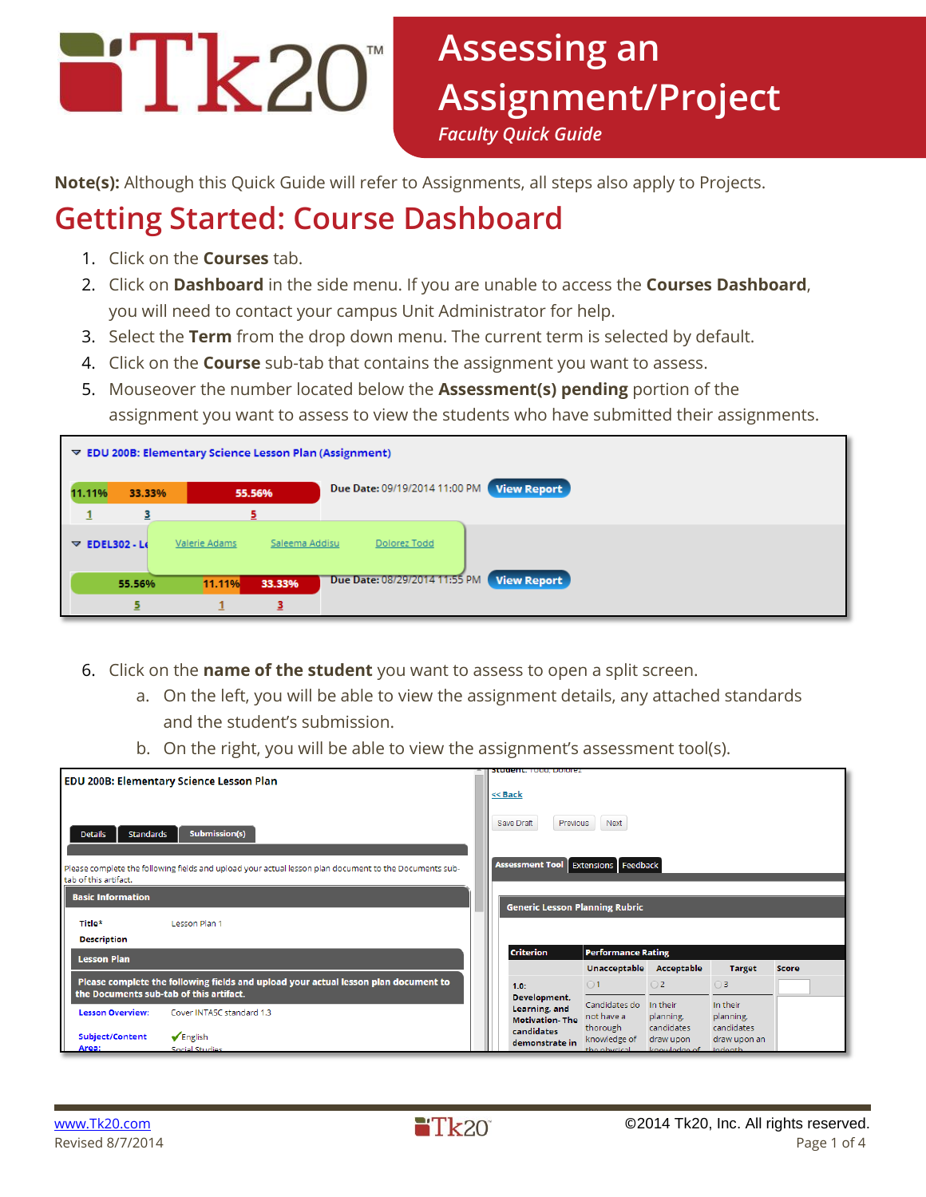

**Note(s):** Although this Quick Guide will refer to Assignments, all steps also apply to Projects.

# **Getting Started: Course Dashboard**

- 1. Click on the **Courses** tab.
- 2. Click on **Dashboard** in the side menu. If you are unable to access the **Courses Dashboard**, you will need to contact your campus Unit Administrator for help.
- 3. Select the **Term** from the drop down menu. The current term is selected by default.
- 4. Click on the **Course** sub-tab that contains the assignment you want to assess.
- 5. Mouseover the number located below the **Assessment(s) pending** portion of the assignment you want to assess to view the students who have submitted their assignments.

| $\triangledown$ EDU 200B: Elementary Science Lesson Plan (Assignment)             |                                                                          |        |        |                               |                    |  |  |  |
|-----------------------------------------------------------------------------------|--------------------------------------------------------------------------|--------|--------|-------------------------------|--------------------|--|--|--|
| <b>View Report</b><br>Due Date: 09/19/2014 11:00 PM<br>11.11%<br>33.33%<br>55.56% |                                                                          |        |        |                               |                    |  |  |  |
|                                                                                   | з                                                                        |        | 5.     |                               |                    |  |  |  |
|                                                                                   | Valerie Adams<br>Saleema Addisu<br>Dolorez Todd<br>$\nabla$ EDEL302 - Le |        |        |                               |                    |  |  |  |
|                                                                                   | 55.56%                                                                   | 11.11% | 33.33% | Due Date: 08/29/2014 11:55 PM | <b>View Report</b> |  |  |  |
|                                                                                   |                                                                          |        | 3      |                               |                    |  |  |  |

- 6. Click on the **name of the student** you want to assess to open a split screen.
	- a. On the left, you will be able to view the assignment details, any attached standards and the student's submission.
	- b. On the right, you will be able to view the assignment's assessment tool(s).

|                                          |                                                                                                        |                                                      | <b>Student.</b> Toda, Dolorez          |                                           |                                         |                                     |       |  |  |
|------------------------------------------|--------------------------------------------------------------------------------------------------------|------------------------------------------------------|----------------------------------------|-------------------------------------------|-----------------------------------------|-------------------------------------|-------|--|--|
| EDU 200B: Elementary Science Lesson Plan |                                                                                                        |                                                      |                                        |                                           |                                         |                                     |       |  |  |
|                                          |                                                                                                        | << Back<br>Next<br>Save Draft<br>Previous            |                                        |                                           |                                         |                                     |       |  |  |
| Standards<br><b>Details</b>              | Submission(s)                                                                                          |                                                      |                                        |                                           |                                         |                                     |       |  |  |
| tab of this artifact.                    | Please complete the following fields and upload your actual lesson plan document to the Documents sub- | <b>Assessment Tool</b><br><b>Extensions Feedback</b> |                                        |                                           |                                         |                                     |       |  |  |
| <b>Basic Information</b>                 |                                                                                                        |                                                      |                                        |                                           |                                         |                                     |       |  |  |
|                                          |                                                                                                        | <b>Generic Lesson Planning Rubric</b>                |                                        |                                           |                                         |                                     |       |  |  |
| Title*                                   | Lesson Plan 1                                                                                          |                                                      |                                        |                                           |                                         |                                     |       |  |  |
| <b>Description</b>                       |                                                                                                        |                                                      |                                        |                                           |                                         |                                     |       |  |  |
| <b>Lesson Plan</b>                       |                                                                                                        | <b>Criterion</b><br><b>Performance Rating</b>        |                                        |                                           |                                         |                                     |       |  |  |
|                                          |                                                                                                        |                                                      |                                        | Unacceptable                              | Acceptable                              | <b>Target</b>                       | Score |  |  |
| the Documents sub-tab of this artifact.  | Please complete the following fields and upload your actual lesson plan document to                    |                                                      | 1.0:<br>Development,                   | $\bigcirc$ 1                              | $\bigcirc$ 2                            | $\bigcirc$ 3                        |       |  |  |
| <b>Lesson Overview:</b>                  | Cover INTASC standard 1.3                                                                              |                                                      | Learning, and<br><b>Motivation-The</b> | Candidates do<br>not have a               | In their<br>planning,                   | In their<br>planning,<br>candidates |       |  |  |
| Subject/Content<br>Area:                 | $\sqrt{\mathsf{English}}$<br><b>Social Studies</b>                                                     |                                                      | candidates<br>demonstrate in           | thorough<br>knowledge of<br>the physical. | candidates<br>draw upon<br>knowledge of | draw upon an<br>indenth             |       |  |  |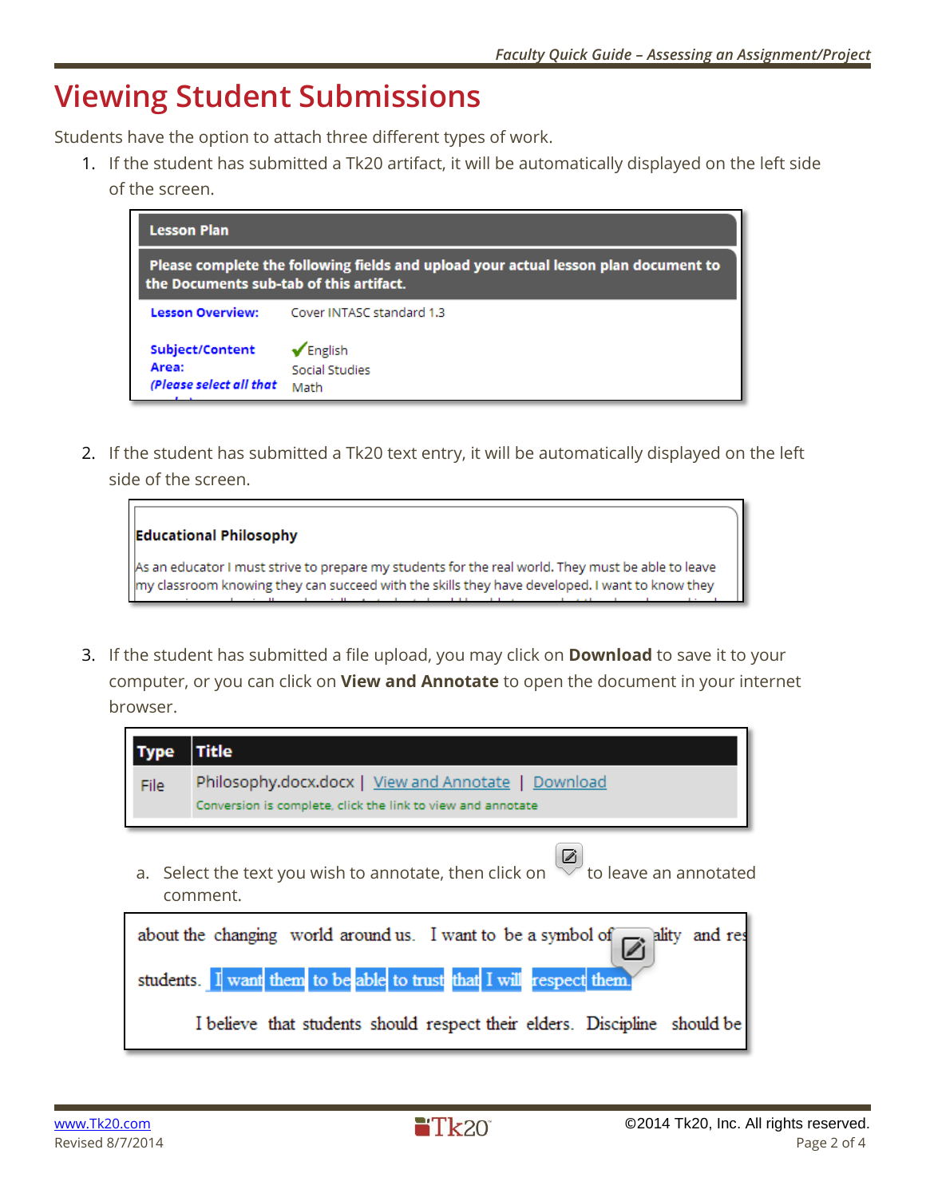### **Viewing Student Submissions**

Students have the option to attach three different types of work.

1. If the student has submitted a Tk20 artifact, it will be automatically displayed on the left side of the screen.

| <b>Lesson Plan</b>                                                                                                             |                                                     |  |  |  |  |  |  |
|--------------------------------------------------------------------------------------------------------------------------------|-----------------------------------------------------|--|--|--|--|--|--|
| Please complete the following fields and upload your actual lesson plan document to<br>the Documents sub-tab of this artifact. |                                                     |  |  |  |  |  |  |
| <b>Lesson Overview:</b>                                                                                                        | Cover INTASC standard 1.3                           |  |  |  |  |  |  |
| Subject/Content<br>Area:<br>(Please select all that                                                                            | $\sqrt{\mathsf{English}}$<br>Social Studies<br>Math |  |  |  |  |  |  |

2. If the student has submitted a Tk20 text entry, it will be automatically displayed on the left side of the screen.

| <b>Educational Philosophy</b>                                                                                                                                                                        |  |
|------------------------------------------------------------------------------------------------------------------------------------------------------------------------------------------------------|--|
| As an educator I must strive to prepare my students for the real world. They must be able to leave<br>my classroom knowing they can succeed with the skills they have developed. I want to know they |  |

3. If the student has submitted a file upload, you may click on **Download** to save it to your computer, or you can click on **View and Annotate** to open the document in your internet browser.

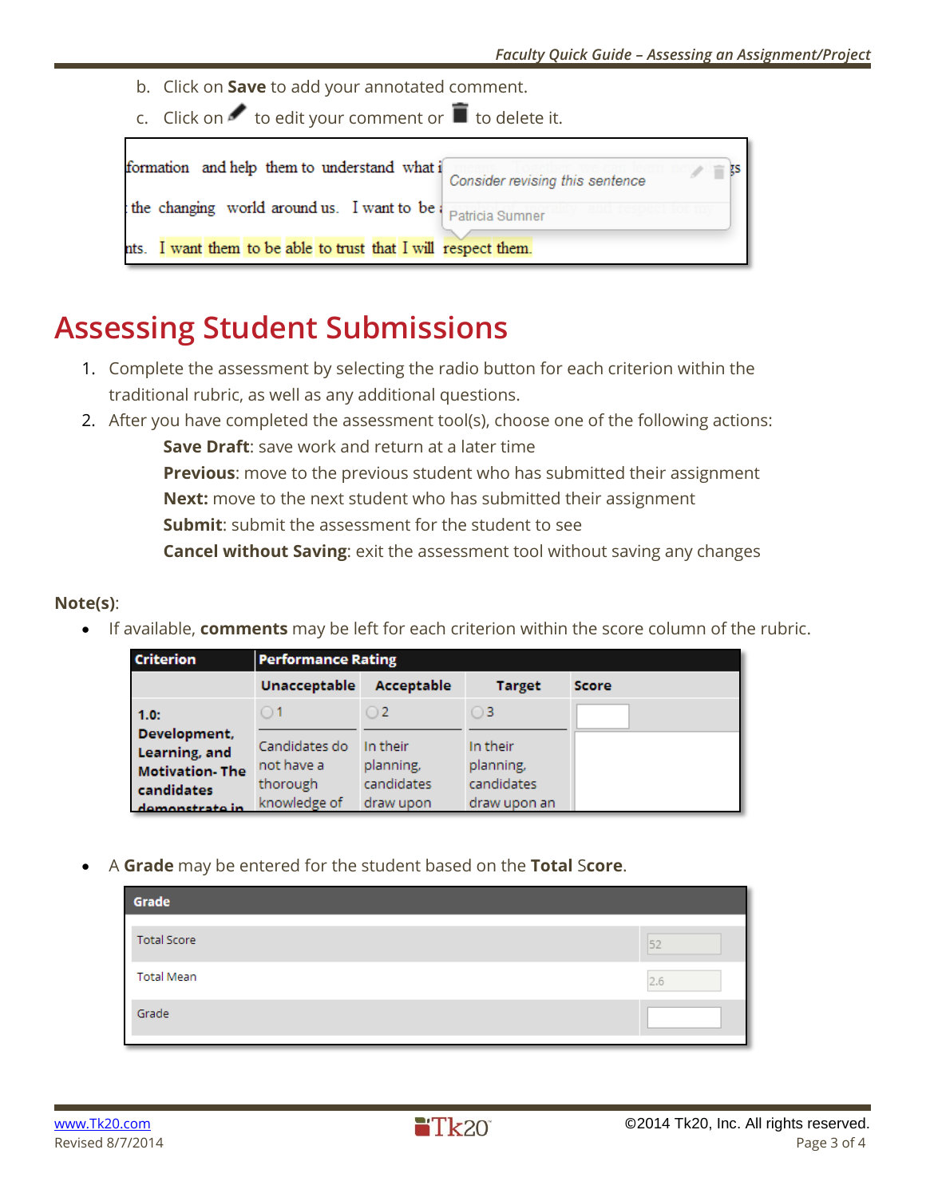- b. Click on **Save** to add your annotated comment.
- c. Click on  $\bullet$  to edit your comment or  $\blacksquare$  to delete it.

| formation and help them to understand what i                   | Consider revising this sentence |
|----------------------------------------------------------------|---------------------------------|
| the changing world around us. I want to be patricia Sumner     |                                 |
| nts. I want them to be able to trust that I will respect them. |                                 |

### **Assessing Student Submissions**

- 1. Complete the assessment by selecting the radio button for each criterion within the traditional rubric, as well as any additional questions.
- 2. After you have completed the assessment tool(s), choose one of the following actions:

**Save Draft**: save work and return at a later time

**Previous**: move to the previous student who has submitted their assignment

**Next:** move to the next student who has submitted their assignment

**Submit**: submit the assessment for the student to see

**Cancel without Saving**: exit the assessment tool without saving any changes

#### **Note(s)**:

If available, **comments** may be left for each criterion within the score column of the rubric.

| <b>Criterion</b>              | <b>Performance Rating</b> |                         |                         |              |  |  |  |  |
|-------------------------------|---------------------------|-------------------------|-------------------------|--------------|--|--|--|--|
|                               | <b>Unacceptable</b>       | Acceptable              | <b>Target</b>           | <b>Score</b> |  |  |  |  |
| 1.0:                          |                           | $^{O2}$                 | ) 3                     |              |  |  |  |  |
| Development,<br>Learning, and | Candidates do             | In their                | In their                |              |  |  |  |  |
| <b>Motivation</b> The         | not have a<br>thorough    | planning,<br>candidates | planning,<br>candidates |              |  |  |  |  |
| candidates<br>domonetrato in  | knowledge of              | draw upon               | draw upon an            |              |  |  |  |  |

A **Grade** may be entered for the student based on the **Total** S**core**.

| Grade              |     |
|--------------------|-----|
| <b>Total Score</b> | 52  |
| <b>Total Mean</b>  | 2.6 |
| Grade              |     |